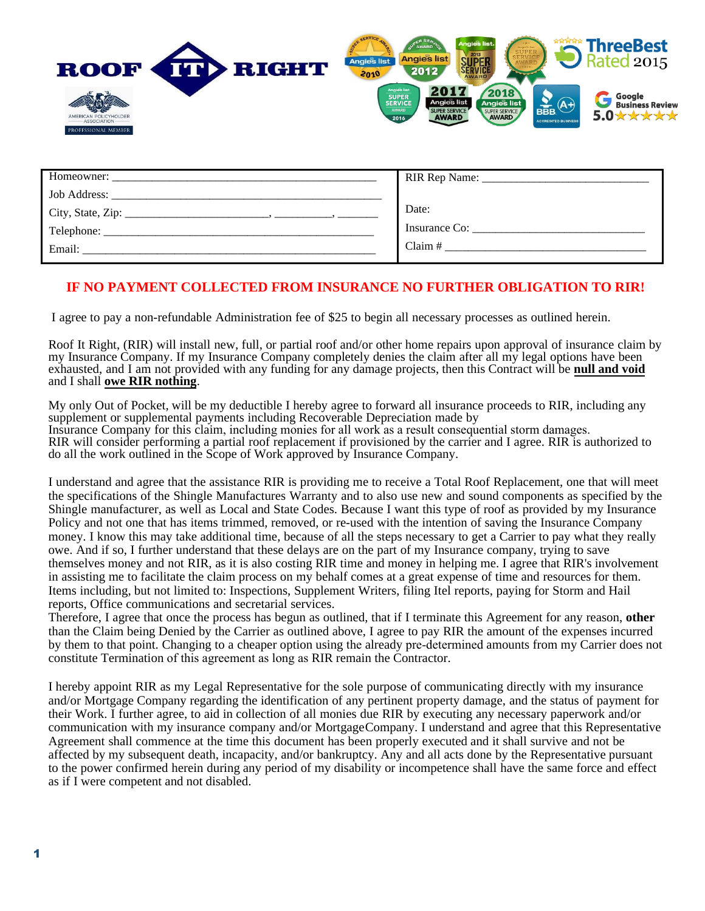

| Homeowner:   |               |
|--------------|---------------|
| Job Address: |               |
|              | Date:         |
| Telephone:   | Insurance Co: |
| Email:       | Claim $#$     |

# **IF NO PAYMENT COLLECTED FROM INSURANCE NO FURTHER OBLIGATION TO RIR!**

I agree to pay a non-refundable Administration fee of \$25 to begin all necessary processes as outlined herein.

Roof It Right, (RIR) will install new, full, or partial roof and/or other home repairs upon approval of insurance claim by my Insurance Company. If my Insurance Company completely denies the claim after all my legal options have been exhausted, and I am not provided with any funding for any damage projects, then this Contract will be **null and void** and I shall **owe RIR nothing**.

My only Out of Pocket, will be my deductible I hereby agree to forward all insurance proceeds to RIR, including any supplement or supplemental payments including Recoverable Depreciation made by Insurance Company for this claim, including monies for all work as a result consequential storm damages. RIR will consider performing a partial roof replacement if provisioned by the carrier and I agree. RIR is authorized to do all the work outlined in the Scope of Work approved by Insurance Company.

I understand and agree that the assistance RIR is providing me to receive a Total Roof Replacement, one that will meet the specifications of the Shingle Manufactures Warranty and to also use new and sound components as specified by the Shingle manufacturer, as well as Local and State Codes. Because I want this type of roof as provided by my Insurance Policy and not one that has items trimmed, removed, or re-used with the intention of saving the Insurance Company money. I know this may take additional time, because of all the steps necessary to get a Carrier to pay what they really owe. And if so, I further understand that these delays are on the part of my Insurance company, trying to save themselves money and not RIR, as it is also costing RIR time and money in helping me. I agree that RIR's involvement in assisting me to facilitate the claim process on my behalf comes at a great expense of time and resources for them. Items including, but not limited to: Inspections, Supplement Writers, filing Itel reports, paying for Storm and Hail reports, Office communications and secretarial services.

Therefore, I agree that once the process has begun as outlined, that if I terminate this Agreement for any reason, **other**  than the Claim being Denied by the Carrier as outlined above, I agree to pay RIR the amount of the expenses incurred by them to that point. Changing to a cheaper option using the already pre-determined amounts from my Carrier does not constitute Termination of this agreement as long as RIR remain the Contractor.

I hereby appoint RIR as my Legal Representative for the sole purpose of communicating directly with my insurance and/or Mortgage Company regarding the identification of any pertinent property damage, and the status of payment for their Work. I further agree, to aid in collection of all monies due RIR by executing any necessary paperwork and/or communication with my insurance company and/or Mortgage Company. I understand and agree that this Representative Agreement shall commence at the time this document has been properly executed and it shall survive and not be affected by my subsequent death, incapacity, and/or bankruptcy. Any and all acts done by the Representative pursuant to the power confirmed herein during any period of my disability or incompetence shall have the same force and effect as if I were competent and not disabled.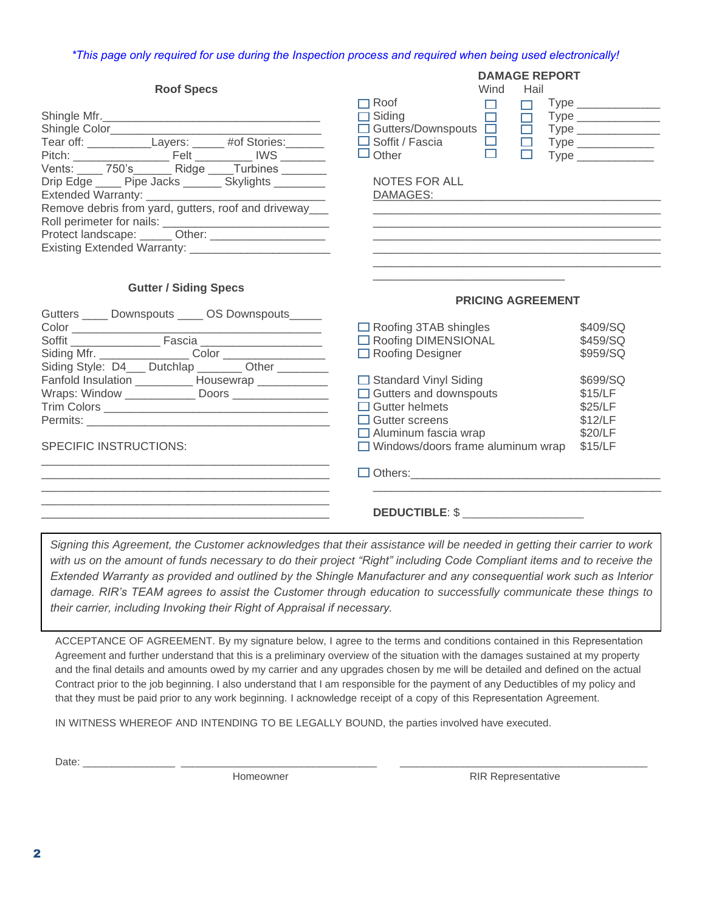### *\*This page only required for use during the Inspection process and required when being used electronically!*

|                                                                                                                                                                                                                                                                                    | <b>DAMAGE REPORT</b>                                                                                                                                                                                                            |                                                                                                                                                                                                                                                                                    |
|------------------------------------------------------------------------------------------------------------------------------------------------------------------------------------------------------------------------------------------------------------------------------------|---------------------------------------------------------------------------------------------------------------------------------------------------------------------------------------------------------------------------------|------------------------------------------------------------------------------------------------------------------------------------------------------------------------------------------------------------------------------------------------------------------------------------|
| <b>Roof Specs</b>                                                                                                                                                                                                                                                                  | Wind<br>Hail                                                                                                                                                                                                                    |                                                                                                                                                                                                                                                                                    |
| Shingle Mfr.<br>Tear off: ______________Layers: ______ #of Stories: ______<br>Vents: 750's Ridge Turbines<br>Drip Edge _____ Pipe Jacks _______ Skylights ________<br>Remove debris from yard, gutters, roof and driveway_<br>Protect landscape: ______ Other: ___________________ | $\neg$ Roof<br>□<br>п<br>$\Box$ Siding<br>$\Box$<br>$\overline{\Box}$ Gutters/Downspouts $\overline{\Box}$<br>$\Box$<br>$\Box$ Soffit / Fascia<br>$\frac{\Box}{\Box}$<br>m.<br>$\Box$ Other<br><b>NOTES FOR ALL</b><br>DAMAGES: | Type the control of the control of the control of the control of the control of the control of the control of the control of the control of the control of the control of the control of the control of the control of the con<br>$\Box$ Type _____________<br>Type ______________ |
| <b>Gutter / Siding Specs</b><br>Gutters _____ Downspouts _____ OS Downspouts______                                                                                                                                                                                                 | <b>PRICING AGREEMENT</b><br>$\Box$ Roofing 3TAB shingles                                                                                                                                                                        | \$409/SQ                                                                                                                                                                                                                                                                           |
| Soffit Fascia<br>Siding Style: D4___ Dutchlap _______ Other _______                                                                                                                                                                                                                | □ Roofing DIMENSIONAL<br>□ Roofing Designer                                                                                                                                                                                     | \$459/SQ<br>\$959/SQ                                                                                                                                                                                                                                                               |
| Fanfold Insulation ___________ Housewrap ____________<br>Wraps: Window ________________ Doors __________________<br><b>SPECIFIC INSTRUCTIONS:</b>                                                                                                                                  | $\Box$ Standard Vinyl Siding<br>$\Box$ Gutters and downspouts<br>$\Box$ Gutter helmets<br>$\Box$ Gutter screens<br>$\Box$ Aluminum fascia wrap<br>$\Box$ Windows/doors frame aluminum wrap                                      | \$699/SQ<br>\$15/LF<br>\$25/LF<br>\$12/LF<br>\$20/LF<br>\$15/LF                                                                                                                                                                                                                    |
|                                                                                                                                                                                                                                                                                    | $\Box$ Others: $\Box$                                                                                                                                                                                                           |                                                                                                                                                                                                                                                                                    |

# **DEDUCTIBLE**: \$ \_\_\_\_\_\_\_\_\_\_\_\_\_\_\_\_\_\_\_\_\_

*Signing this Agreement, the Customer acknowledges that their assistance will be needed in getting their carrier to work with us on the amount of funds necessary to do their project "Right" including Code Compliant items and to receive the Extended Warranty as provided and outlined by the Shingle Manufacturer and any consequential work such as Interior damage. RIR's TEAM agrees to assist the Customer through education to successfully communicate these things to their carrier, including Invoking their Right of Appraisal if necessary.*

ACCEPTANCE OF AGREEMENT. By my signature below, I agree to the terms and conditions contained in this Representation Agreement and further understand that this is a preliminary overview of the situation with the damages sustained at my property and the final details and amounts owed by my carrier and any upgrades chosen by me will be detailed and defined on the actual Contract prior to the job beginning. I also understand that I am responsible for the payment of any Deductibles of my policy and that they must be paid prior to any work beginning. I acknowledge receipt of a copy of this Representation Agreement.

IN WITNESS WHEREOF AND INTENDING TO BE LEGALLY BOUND, the parties involved have executed.

Date: \_\_\_\_\_\_\_\_\_\_\_\_\_\_\_\_ \_\_\_\_\_\_\_\_\_\_\_\_\_\_\_\_\_\_\_\_\_\_\_\_\_\_\_\_\_\_\_\_\_\_ \_\_\_\_\_\_\_\_\_\_\_\_\_\_\_\_\_\_\_\_\_\_\_\_\_\_\_\_\_\_\_\_\_\_\_\_\_\_\_\_\_\_\_

\_\_\_\_\_\_\_\_\_\_\_\_\_\_\_\_\_\_\_\_\_\_\_\_\_\_\_\_\_\_\_\_\_\_\_\_\_\_\_\_\_\_\_\_\_

Homeowner **RIR Representative**